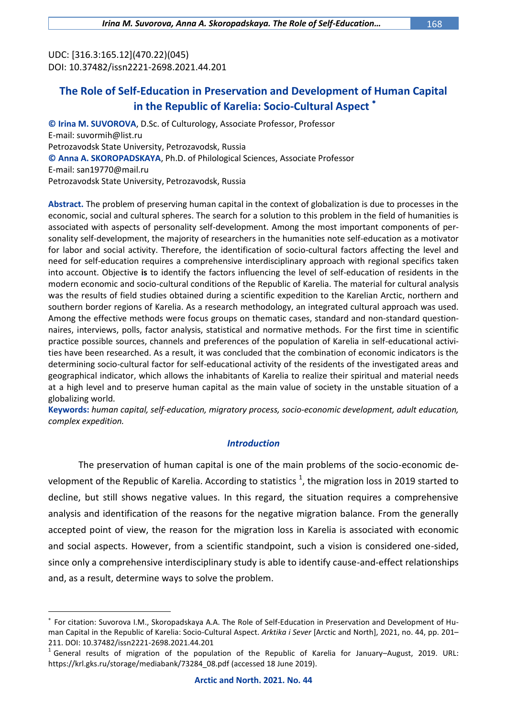UDC: [316.3:165.12](470.22)(045) DOI: 10.37482/issn2221-2698.2021.44.201

 $\overline{a}$ 

# **The Role of Self-Education in Preservation and Development of Human Capital in the Republic of Karelia: Socio-Cultural Aspect**

**© Irina M. SUVOROVA**, D.Sc. of Culturology, Associate Professor, Professor E-mail: [suvormih@list.ru](mailto:suvormih@list.ru) Petrozavodsk State University, Petrozavodsk, Russia **© Anna A. SKOROPADSKAYA**, Ph.D. of Philological Sciences, Associate Professor E-mail: [san19770@mail.ru](mailto:san19770@mail.ru) Petrozavodsk State University, Petrozavodsk, Russia

**Abstract.** The problem of preserving human capital in the context of globalization is due to processes in the economic, social and cultural spheres. The search for a solution to this problem in the field of humanities is associated with aspects of personality self-development. Among the most important components of personality self-development, the majority of researchers in the humanities note self-education as a motivator for labor and social activity. Therefore, the identification of socio-cultural factors affecting the level and need for self-education requires a comprehensive interdisciplinary approach with regional specifics taken into account. Objective **is** to identify the factors influencing the level of self-education of residents in the modern economic and socio-cultural conditions of the Republic of Karelia. The material for cultural analysis was the results of field studies obtained during a scientific expedition to the Karelian Arctic, northern and southern border regions of Karelia. As a research methodology, an integrated cultural approach was used. Among the effective methods were focus groups on thematic cases, standard and non-standard questionnaires, interviews, polls, factor analysis, statistical and normative methods. For the first time in scientific practice possible sources, channels and preferences of the population of Karelia in self-educational activities have been researched. As a result, it was concluded that the combination of economic indicators is the determining socio-cultural factor for self-educational activity of the residents of the investigated areas and geographical indicator, which allows the inhabitants of Karelia to realize their spiritual and material needs at a high level and to preserve human capital as the main value of society in the unstable situation of a globalizing world.

**Keywords:** *human capital, self-education, migratory process, socio-economic development, adult education, complex expedition.*

### *Introduction*

The preservation of human capital is one of the main problems of the socio-economic development of the Republic of Karelia. According to statistics  $^1$ , the migration loss in 2019 started to decline, but still shows negative values. In this regard, the situation requires a comprehensive analysis and identification of the reasons for the negative migration balance. From the generally accepted point of view, the reason for the migration loss in Karelia is associated with economic and social aspects. However, from a scientific standpoint, such a vision is considered one-sided, since only a comprehensive interdisciplinary study is able to identify cause-and-effect relationships and, as a result, determine ways to solve the problem.

<sup>×</sup> For citation: Suvorova I.M., Skoropadskaya A.A. The Role of Self-Education in Preservation and Development of Human Capital in the Republic of Karelia: Socio-Cultural Aspect. *Arktika i Sever* [Arctic and North], 2021, no. 44, pp. 201– 211. DOI: 10.37482/issn2221-2698.2021.44.201

<sup>1</sup> General results of migration of the population of the Republic of Karelia for January–August, 2019. URL: [https://krl.gks.ru/storage/mediabank/73284\\_08.pdf](https://krl.gks.ru/storage/mediabank/73284_08.pdf) (accessed 18 June 2019).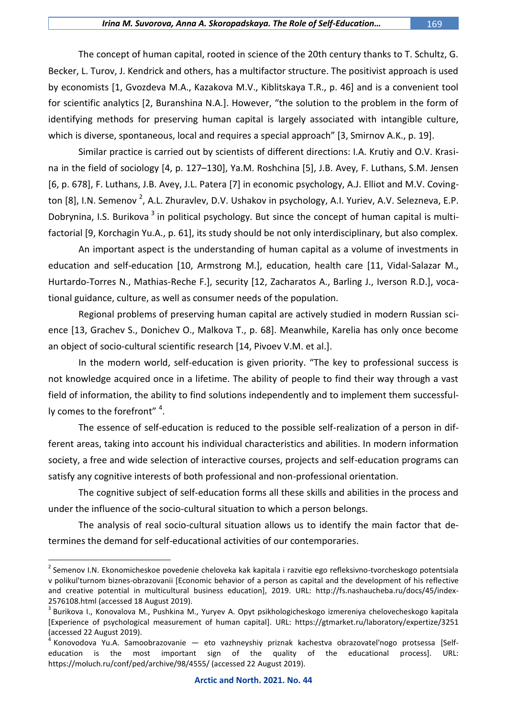The concept of human capital, rooted in science of the 20th century thanks to T. Schultz, G. Becker, L. Turov, J. Kendrick and others, has a multifactor structure. The positivist approach is used by economists [1, Gvozdeva M.A., Kazakova M.V., Kiblitskaya T.R., p. 46] and is a convenient tool for scientific analytics [2, Buranshina N.A.]. However, "the solution to the problem in the form of identifying methods for preserving human capital is largely associated with intangible culture, which is diverse, spontaneous, local and requires a special approach" [3, Smirnov A.K., p. 19].

Similar practice is carried out by scientists of different directions: I.A. Krutiy and O.V. Krasina in the field of sociology [4, p. 127–130], Ya.M. Roshchina [5], J.B. Avey, F. Luthans, S.M. Jensen [6, p. 678], F. Luthans, J.B. Avey, J.L. Patera [7] in economic psychology, A.J. Elliot and M.V. Covington [8], I.N. Semenov <sup>2</sup>, A.L. Zhuravlev, D.V. Ushakov in psychology, A.I. Yuriev, A.V. Selezneva, E.P. Dobrynina, I.S. Burikova <sup>3</sup> in political psychology. But since the concept of human capital is multifactorial [9, Korchagin Yu.A., p. 61], its study should be not only interdisciplinary, but also complex.

An important aspect is the understanding of human capital as a volume of investments in education and self-education [10, Armstrong M.], education, health care [11, Vidal-Salazar M., Hurtardo-Torres N., Mathias-Reche F.], security [12, Zacharatos A., Barling J., Iverson R.D.], vocational guidance, culture, as well as consumer needs of the population.

Regional problems of preserving human capital are actively studied in modern Russian science [13, Grachev S., Donichev O., Malkova T., p. 68]. Meanwhile, Karelia has only once become an object of socio-cultural scientific research [14, Pivoev V.M. et al.].

In the modern world, self-education is given priority. "The key to professional success is not knowledge acquired once in a lifetime. The ability of people to find their way through a vast field of information, the ability to find solutions independently and to implement them successfully comes to the forefront"  $^4$ .

The essence of self-education is reduced to the possible self-realization of a person in different areas, taking into account his individual characteristics and abilities. In modern information society, a free and wide selection of interactive courses, projects and self-education programs can satisfy any cognitive interests of both professional and non-professional orientation.

The cognitive subject of self-education forms all these skills and abilities in the process and under the influence of the socio-cultural situation to which a person belongs.

The analysis of real socio-cultural situation allows us to identify the main factor that determines the demand for self-educational activities of our contemporaries.

<sup>&</sup>lt;sup>2</sup> Semenov I.N. Ekonomicheskoe povedenie cheloveka kak kapitala i razvitie ego refleksivno-tvorcheskogo potentsiala v polikul'turnom biznes-obrazovanii [Economic behavior of a person as capital and the development of his reflective and creative potential in multicultural business education], 2019. URL: http://fs.nashaucheba.ru/docs/45/index-2576108.html (accessed 18 August 2019).

<sup>&</sup>lt;sup>3</sup> Burikova I., Konovalova M., Pushkina M., Yuryev A. Opyt psikhologicheskogo izmereniya chelovecheskogo kapitala [Experience of psychological measurement of human capital]. URL: https://gtmarket.ru/laboratory/expertize/3251 (accessed 22 August 2019).

<sup>&</sup>lt;sup>4</sup> Konovodova Yu.A. Samoobrazovanie — eto vazhneyshiy priznak kachestva obrazovateľnogo protsessa [Selfeducation is the most important sign of the quality of the educational process]. URL: https://moluch.ru/conf/ped/archive/98/4555/ (accessed 22 August 2019).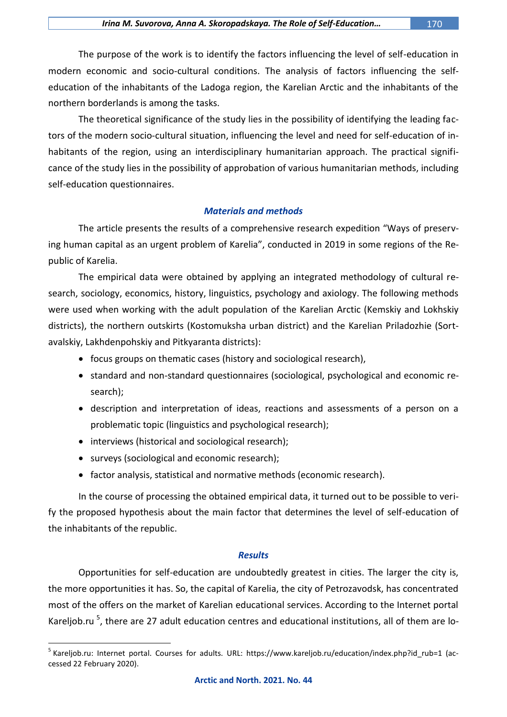The purpose of the work is to identify the factors influencing the level of self-education in modern economic and socio-cultural conditions. The analysis of factors influencing the selfeducation of the inhabitants of the Ladoga region, the Karelian Arctic and the inhabitants of the northern borderlands is among the tasks.

The theoretical significance of the study lies in the possibility of identifying the leading factors of the modern socio-cultural situation, influencing the level and need for self-education of inhabitants of the region, using an interdisciplinary humanitarian approach. The practical significance of the study lies in the possibility of approbation of various humanitarian methods, including self-education questionnaires.

### *Materials and methods*

The article presents the results of a comprehensive research expedition "Ways of preserving human capital as an urgent problem of Karelia", conducted in 2019 in some regions of the Republic of Karelia.

The empirical data were obtained by applying an integrated methodology of cultural research, sociology, economics, history, linguistics, psychology and axiology. The following methods were used when working with the adult population of the Karelian Arctic (Kemskiy and Lokhskiy districts), the northern outskirts (Kostomuksha urban district) and the Karelian Priladozhie (Sortavalskiy, Lakhdenpohskiy and Pitkyaranta districts):

- focus groups on thematic cases (history and sociological research),
- standard and non-standard questionnaires (sociological, psychological and economic research);
- description and interpretation of ideas, reactions and assessments of a person on a problematic topic (linguistics and psychological research);
- interviews (historical and sociological research);
- surveys (sociological and economic research);

 $\overline{a}$ 

• factor analysis, statistical and normative methods (economic research).

In the course of processing the obtained empirical data, it turned out to be possible to verify the proposed hypothesis about the main factor that determines the level of self-education of the inhabitants of the republic.

### *Results*

Opportunities for self-education are undoubtedly greatest in cities. The larger the city is, the more opportunities it has. So, the capital of Karelia, the city of Petrozavodsk, has concentrated most of the offers on the market of Karelian educational services. According to the Internet portal Kareljob.ru<sup>5</sup>, there are 27 adult education centres and educational institutions, all of them are lo-

<sup>&</sup>lt;sup>5</sup> Kareljob.ru: Internet portal. Courses for adults. URL: [https://www.kareljob.ru/education/index.php?id\\_rub=1](https://www.kareljob.ru/education/index.php?id_rub=1) (accessed 22 February 2020).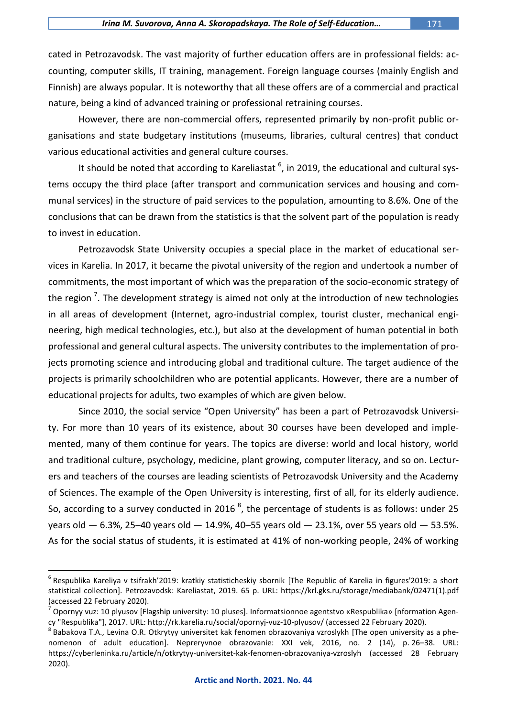cated in Petrozavodsk. The vast majority of further education offers are in professional fields: accounting, computer skills, IT training, management. Foreign language courses (mainly English and Finnish) are always popular. It is noteworthy that all these offers are of a commercial and practical nature, being a kind of advanced training or professional retraining courses.

However, there are non-commercial offers, represented primarily by non-profit public organisations and state budgetary institutions (museums, libraries, cultural centres) that conduct various educational activities and general culture courses.

It should be noted that according to Kareliastat <sup>6</sup>, in 2019, the educational and cultural systems occupy the third place (after transport and communication services and housing and communal services) in the structure of paid services to the population, amounting to 8.6%. One of the conclusions that can be drawn from the statistics is that the solvent part of the population is ready to invest in education.

Petrozavodsk State University occupies a special place in the market of educational services in Karelia. In 2017, it became the pivotal university of the region and undertook a number of commitments, the most important of which was the preparation of the socio-economic strategy of the region <sup>7</sup>. The development strategy is aimed not only at the introduction of new technologies in all areas of development (Internet, agro-industrial complex, tourist cluster, mechanical engineering, high medical technologies, etc.), but also at the development of human potential in both professional and general cultural aspects. The university contributes to the implementation of projects promoting science and introducing global and traditional culture. The target audience of the projects is primarily schoolchildren who are potential applicants. However, there are a number of educational projects for adults, two examples of which are given below.

Since 2010, the social service "Open University" has been a part of Petrozavodsk University. For more than 10 years of its existence, about 30 courses have been developed and implemented, many of them continue for years. The topics are diverse: world and local history, world and traditional culture, psychology, medicine, plant growing, computer literacy, and so on. Lecturers and teachers of the courses are leading scientists of Petrozavodsk University and the Academy of Sciences. The example of the Open University is interesting, first of all, for its elderly audience. So, according to a survey conducted in 2016  $^8$ , the percentage of students is as follows: under 25 years old  $-6.3$ %, 25-40 years old  $-14.9$ %, 40-55 years old  $-23.1$ %, over 55 years old  $-53.5$ %. As for the social status of students, it is estimated at 41% of non-working people, 24% of working

 $^6$  Respublika Kareliya v tsifrakh'2019: kratkiy statisticheskiy sbornik [The Republic of Karelia in figures'2019: a short statistical collection]. Petrozavodsk: Kareliastat, 2019. 65 p. URL: [https://krl.gks.ru/storage/mediabank/02471\(1\).pdf](https://krl.gks.ru/storage/mediabank/02471(1).pdf) (accessed 22 February 2020).

<sup>7</sup> Opornyy vuz: 10 plyusov [Flagship university: 10 pluses]. Informatsionnoe agentstvo «Respublika» [nformation Agency "Respublika"], 2017. URL[: http://rk.karelia.ru/social/opornyj-vuz-10-plyusov/](http://rk.karelia.ru/social/opornyj-vuz-10-plyusov/) (accessed 22 February 2020).

 $^8$ Babakova T.A., Levina O.R. Otkrytyy universitet kak fenomen obrazovaniya vzroslykh [The open university as a phenomenon of adult education]. Nepreryvnoe obrazovanie: XXI vek, 2016, no. 2 (14), p. 26–38. URL: https://cyberleninka.ru/article/n/otkrytyy-universitet-kak-fenomen-obrazovaniya-vzroslyh (accessed 28 February 2020).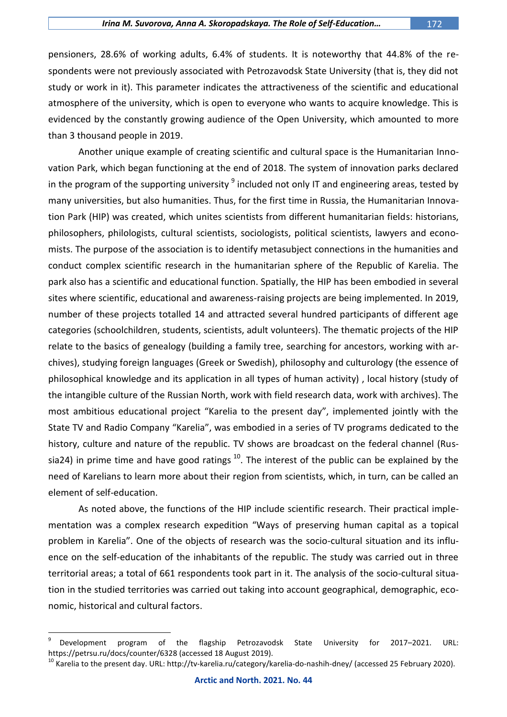pensioners, 28.6% of working adults, 6.4% of students. It is noteworthy that 44.8% of the respondents were not previously associated with Petrozavodsk State University (that is, they did not study or work in it). This parameter indicates the attractiveness of the scientific and educational atmosphere of the university, which is open to everyone who wants to acquire knowledge. This is evidenced by the constantly growing audience of the Open University, which amounted to more than 3 thousand people in 2019.

Another unique example of creating scientific and cultural space is the Humanitarian Innovation Park, which began functioning at the end of 2018. The system of innovation parks declared in the program of the supporting university <sup>9</sup> included not only IT and engineering areas, tested by many universities, but also humanities. Thus, for the first time in Russia, the Humanitarian Innovation Park (HIP) was created, which unites scientists from different humanitarian fields: historians, philosophers, philologists, cultural scientists, sociologists, political scientists, lawyers and economists. The purpose of the association is to identify metasubject connections in the humanities and conduct complex scientific research in the humanitarian sphere of the Republic of Karelia. The park also has a scientific and educational function. Spatially, the HIP has been embodied in several sites where scientific, educational and awareness-raising projects are being implemented. In 2019, number of these projects totalled 14 and attracted several hundred participants of different age categories (schoolchildren, students, scientists, adult volunteers). The thematic projects of the HIP relate to the basics of genealogy (building a family tree, searching for ancestors, working with archives), studying foreign languages (Greek or Swedish), philosophy and culturology (the essence of philosophical knowledge and its application in all types of human activity) , local history (study of the intangible culture of the Russian North, work with field research data, work with archives). The most ambitious educational project "Karelia to the present day", implemented jointly with the State TV and Radio Company "Karelia", was embodied in a series of TV programs dedicated to the history, culture and nature of the republic. TV shows are broadcast on the federal channel (Russia24) in prime time and have good ratings  $^{10}$ . The interest of the public can be explained by the need of Karelians to learn more about their region from scientists, which, in turn, can be called an element of self-education.

As noted above, the functions of the HIP include scientific research. Their practical implementation was a complex research expedition "Ways of preserving human capital as a topical problem in Karelia". One of the objects of research was the socio-cultural situation and its influence on the self-education of the inhabitants of the republic. The study was carried out in three territorial areas; a total of 661 respondents took part in it. The analysis of the socio-cultural situation in the studied territories was carried out taking into account geographical, demographic, economic, historical and cultural factors.

<sup>9</sup> Development program of the flagship Petrozavodsk State University for 2017–2021. URL: <https://petrsu.ru/docs/counter/6328> (accessed 18 August 2019).

<sup>&</sup>lt;sup>10</sup> Karelia to the present day. URL:<http://tv-karelia.ru/category/karelia-do-nashih-dney/> (accessed 25 February 2020).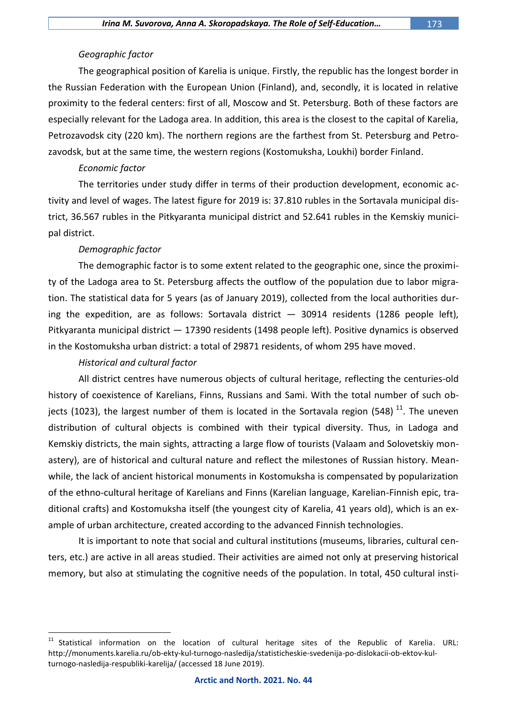### *Geographic factor*

The geographical position of Karelia is unique. Firstly, the republic has the longest border in the Russian Federation with the European Union (Finland), and, secondly, it is located in relative proximity to the federal centers: first of all, Moscow and St. Petersburg. Both of these factors are especially relevant for the Ladoga area. In addition, this area is the closest to the capital of Karelia, Petrozavodsk city (220 km). The northern regions are the farthest from St. Petersburg and Petrozavodsk, but at the same time, the western regions (Kostomuksha, Loukhi) border Finland.

#### *Economic factor*

The territories under study differ in terms of their production development, economic activity and level of wages. The latest figure for 2019 is: 37.810 rubles in the Sortavala municipal district, 36.567 rubles in the Pitkyaranta municipal district and 52.641 rubles in the Kemskiy municipal district.

#### *Demographic factor*

The demographic factor is to some extent related to the geographic one, since the proximity of the Ladoga area to St. Petersburg affects the outflow of the population due to labor migration. The statistical data for 5 years (as of January 2019), collected from the local authorities during the expedition, are as follows: Sortavala district  $-$  30914 residents (1286 people left), Pitkyaranta municipal district — 17390 residents (1498 people left). Positive dynamics is observed in the Kostomuksha urban district: a total of 29871 residents, of whom 295 have moved.

#### *Historical and cultural factor*

 $\overline{a}$ 

All district centres have numerous objects of cultural heritage, reflecting the centuries-old history of coexistence of Karelians, Finns, Russians and Sami. With the total number of such objects (1023), the largest number of them is located in the Sortavala region (548)  $^{11}$ . The uneven distribution of cultural objects is combined with their typical diversity. Thus, in Ladoga and Kemskiy districts, the main sights, attracting a large flow of tourists (Valaam and Solovetskiy monastery), are of historical and cultural nature and reflect the milestones of Russian history. Meanwhile, the lack of ancient historical monuments in Kostomuksha is compensated by popularization of the ethno-cultural heritage of Karelians and Finns (Karelian language, Karelian-Finnish epic, traditional crafts) and Kostomuksha itself (the youngest city of Karelia, 41 years old), which is an example of urban architecture, created according to the advanced Finnish technologies.

It is important to note that social and cultural institutions (museums, libraries, cultural centers, etc.) are active in all areas studied. Their activities are aimed not only at preserving historical memory, but also at stimulating the cognitive needs of the population. In total, 450 cultural insti-

<sup>&</sup>lt;sup>11</sup> Statistical information on the location of cultural heritage sites of the Republic of Karelia. URL: http://monuments.karelia.ru/ob-ekty-kul-turnogo-nasledija/statisticheskie-svedenija-po-dislokacii-ob-ektov-kulturnogo-nasledija-respubliki-karelija/ (accessed 18 June 2019).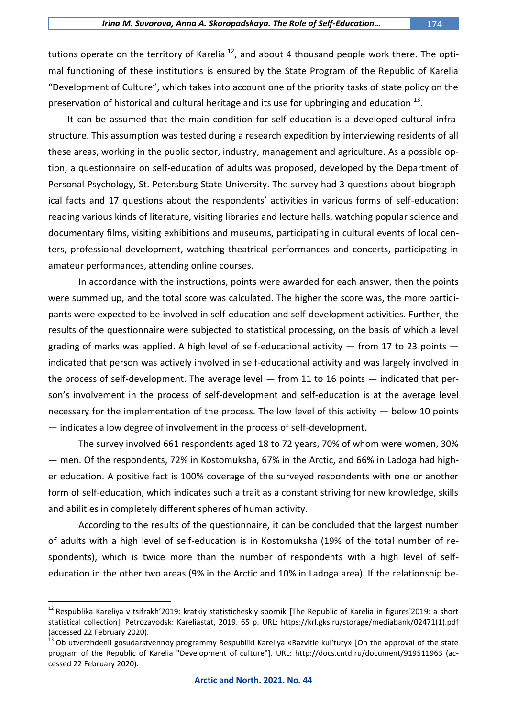tutions operate on the territory of Karelia <sup>12</sup>, and about 4 thousand people work there. The optimal functioning of these institutions is ensured by the State Program of the Republic of Karelia "Development of Culture", which takes into account one of the priority tasks of state policy on the preservation of historical and cultural heritage and its use for upbringing and education  $^{13}$ .

It can be assumed that the main condition for self-education is a developed cultural infrastructure. This assumption was tested during a research expedition by interviewing residents of all these areas, working in the public sector, industry, management and agriculture. As a possible option, a questionnaire on self-education of adults was proposed, developed by the Department of Personal Psychology, St. Petersburg State University. The survey had 3 questions about biographical facts and 17 questions about the respondents' activities in various forms of self-education: reading various kinds of literature, visiting libraries and lecture halls, watching popular science and documentary films, visiting exhibitions and museums, participating in cultural events of local centers, professional development, watching theatrical performances and concerts, participating in amateur performances, attending online courses.

In accordance with the instructions, points were awarded for each answer, then the points were summed up, and the total score was calculated. The higher the score was, the more participants were expected to be involved in self-education and self-development activities. Further, the results of the questionnaire were subjected to statistical processing, on the basis of which a level grading of marks was applied. A high level of self-educational activity  $-$  from 17 to 23 points  $$ indicated that person was actively involved in self-educational activity and was largely involved in the process of self-development. The average level — from 11 to 16 points — indicated that person's involvement in the process of self-development and self-education is at the average level necessary for the implementation of the process. The low level of this activity — below 10 points — indicates a low degree of involvement in the process of self-development.

The survey involved 661 respondents aged 18 to 72 years, 70% of whom were women, 30% — men. Of the respondents, 72% in Kostomuksha, 67% in the Arctic, and 66% in Ladoga had higher education. A positive fact is 100% coverage of the surveyed respondents with one or another form of self-education, which indicates such a trait as a constant striving for new knowledge, skills and abilities in completely different spheres of human activity.

According to the results of the questionnaire, it can be concluded that the largest number of adults with a high level of self-education is in Kostomuksha (19% of the total number of respondents), which is twice more than the number of respondents with a high level of selfeducation in the other two areas (9% in the Arctic and 10% in Ladoga area). If the relationship be-

<sup>&</sup>lt;sup>12</sup> Respublika Kareliya v tsifrakh'2019: kratkiy statisticheskiy sbornik [The Republic of Karelia in figures'2019: a short statistical collection]. Petrozavodsk: Kareliastat, 2019. 65 p. URL: [https://krl.gks.ru/storage/mediabank/02471\(1\).pdf](https://krl.gks.ru/storage/mediabank/02471(1).pdf) (accessed 22 February 2020).

<sup>&</sup>lt;sup>13</sup> Ob utverzhdenii gosudarstvennoy programmy Respubliki Kareliya «Razvitie kul'tury» [On the approval of the state program of the Republic of Karelia "Development of culture"]. URL:<http://docs.cntd.ru/document/919511963> (accessed 22 February 2020).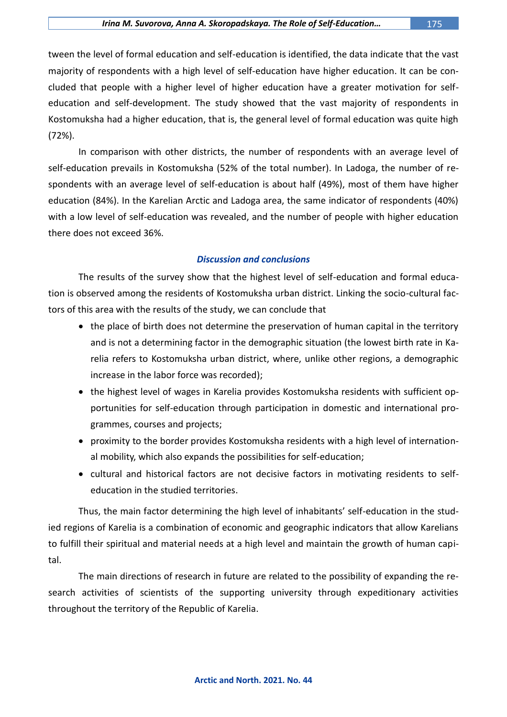tween the level of formal education and self-education is identified, the data indicate that the vast majority of respondents with a high level of self-education have higher education. It can be concluded that people with a higher level of higher education have a greater motivation for selfeducation and self-development. The study showed that the vast majority of respondents in Kostomuksha had a higher education, that is, the general level of formal education was quite high (72%).

In comparison with other districts, the number of respondents with an average level of self-education prevails in Kostomuksha (52% of the total number). In Ladoga, the number of respondents with an average level of self-education is about half (49%), most of them have higher education (84%). In the Karelian Arctic and Ladoga area, the same indicator of respondents (40%) with a low level of self-education was revealed, and the number of people with higher education there does not exceed 36%.

## *Discussion and conclusions*

The results of the survey show that the highest level of self-education and formal education is observed among the residents of Kostomuksha urban district. Linking the socio-cultural factors of this area with the results of the study, we can conclude that

- the place of birth does not determine the preservation of human capital in the territory and is not a determining factor in the demographic situation (the lowest birth rate in Karelia refers to Kostomuksha urban district, where, unlike other regions, a demographic increase in the labor force was recorded);
- the highest level of wages in Karelia provides Kostomuksha residents with sufficient opportunities for self-education through participation in domestic and international programmes, courses and projects;
- proximity to the border provides Kostomuksha residents with a high level of international mobility, which also expands the possibilities for self-education;
- cultural and historical factors are not decisive factors in motivating residents to selfeducation in the studied territories.

Thus, the main factor determining the high level of inhabitants' self-education in the studied regions of Karelia is a combination of economic and geographic indicators that allow Karelians to fulfill their spiritual and material needs at a high level and maintain the growth of human capital.

The main directions of research in future are related to the possibility of expanding the research activities of scientists of the supporting university through expeditionary activities throughout the territory of the Republic of Karelia.